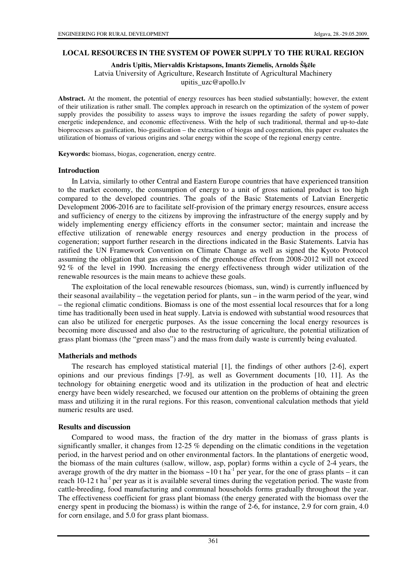### **LOCAL RESOURCES IN THE SYSTEM OF POWER SUPPLY TO THE RURAL REGION**

**Andris Up**ī**tis, Miervaldis Kristapsons, Imants Ziemelis, Arnolds Š**ķē**le** 

Latvia University of Agriculture, Research Institute of Agricultural Machinery

upitis\_uzc@apollo.lv

**Abstract.** At the moment, the potential of energy resources has been studied substantially; however, the extent of their utilization is rather small. The complex approach in research on the optimization of the system of power supply provides the possibility to assess ways to improve the issues regarding the safety of power supply, energetic independence, and economic effectiveness. With the help of such traditional, thermal and up-to-date bioprocesses as gasification, bio-gasification – the extraction of biogas and cogeneration, this paper evaluates the utilization of biomass of various origins and solar energy within the scope of the regional energy centre.

**Keywords:** biomass, biogas, cogeneration, energy centre.

#### **Introduction**

In Latvia, similarly to other Central and Eastern Europe countries that have experienced transition to the market economy, the consumption of energy to a unit of gross national product is too high compared to the developed countries. The goals of the Basic Statements of Latvian Energetic Development 2006-2016 are to facilitate self-provision of the primary energy resources, ensure access and sufficiency of energy to the citizens by improving the infrastructure of the energy supply and by widely implementing energy efficiency efforts in the consumer sector; maintain and increase the effective utilization of renewable energy resources and energy production in the process of cogeneration; support further research in the directions indicated in the Basic Statements. Latvia has ratified the UN Framework Convention on Climate Change as well as signed the Kyoto Protocol assuming the obligation that gas emissions of the greenhouse effect from 2008-2012 will not exceed 92 % of the level in 1990. Increasing the energy effectiveness through wider utilization of the renewable resources is the main means to achieve these goals.

The exploitation of the local renewable resources (biomass, sun, wind) is currently influenced by their seasonal availability – the vegetation period for plants, sun – in the warm period of the year, wind – the regional climatic conditions. Biomass is one of the most essential local resources that for a long time has traditionally been used in heat supply. Latvia is endowed with substantial wood resources that can also be utilized for energetic purposes. As the issue concerning the local energy resources is becoming more discussed and also due to the restructuring of agriculture, the potential utilization of grass plant biomass (the "green mass") and the mass from daily waste is currently being evaluated.

### **Matherials and methods**

The research has employed statistical material [1], the findings of other authors [2-6], expert opinions and our previous findings [7-9], as well as Government documents [10, 11]. As the technology for obtaining energetic wood and its utilization in the production of heat and electric energy have been widely researched, we focused our attention on the problems of obtaining the green mass and utilizing it in the rural regions. For this reason, conventional calculation methods that yield numeric results are used.

### **Results and discussion**

Compared to wood mass, the fraction of the dry matter in the biomass of grass plants is significantly smaller, it changes from 12-25 % depending on the climatic conditions in the vegetation period, in the harvest period and on other environmental factors. In the plantations of energetic wood, the biomass of the main cultures (sallow, willow, asp, poplar) forms within a cycle of 2-4 years, the average growth of the dry matter in the biomass  $\sim 10$  t ha<sup>-1</sup> per year, for the one of grass plants – it can reach 10-12 t ha<sup>-1</sup> per year as it is available several times during the vegetation period. The waste from cattle-breeding, food manufacturing and communal households forms gradually throughout the year. The effectiveness coefficient for grass plant biomass (the energy generated with the biomass over the energy spent in producing the biomass) is within the range of 2-6, for instance, 2.9 for corn grain, 4.0 for corn ensilage, and 5.0 for grass plant biomass.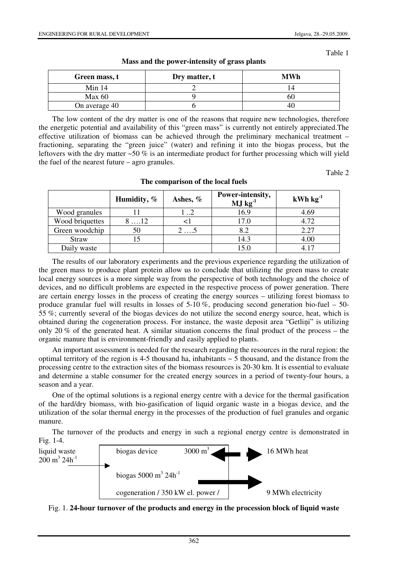Table 1

| Green mass, t | Dry matter, t | <b>MWh</b> |
|---------------|---------------|------------|
| Min 14        |               |            |
| Max 60        |               | DΨ         |
| On average 40 |               | 40         |

**Mass and the power-intensity of grass plants** 

The low content of the dry matter is one of the reasons that require new technologies, therefore the energetic potential and availability of this "green mass" is currently not entirely appreciated.The effective utilization of biomass can be achieved through the preliminary mechanical treatment – fractioning, separating the "green juice" (water) and refining it into the biogas process, but the leftovers with the dry matter  $\sim 50\%$  is an intermediate product for further processing which will yield the fuel of the nearest future – agro granules.

Table 2

|                 | Humidity, %  | Ashes, % | Power-intensity,<br>$MJ$ kg <sup>-1</sup> | $kWh$ $kg^{-1}$ |
|-----------------|--------------|----------|-------------------------------------------|-----------------|
| Wood granules   |              | 1 2      | 16.9                                      | 4.69            |
| Wood briquettes | $8 \dots 12$ |          | 17.0                                      | 4.72            |
| Green woodchip  | 50           | 25       | 8.2                                       | 2.27            |
| <b>Straw</b>    | 15           |          | 14.3                                      | 4.00            |
| Daily waste     |              |          | 15.0                                      | 4.17            |

#### **The comparison of the local fuels**

The results of our laboratory experiments and the previous experience regarding the utilization of the green mass to produce plant protein allow us to conclude that utilizing the green mass to create local energy sources is a more simple way from the perspective of both technology and the choice of devices, and no difficult problems are expected in the respective process of power generation. There are certain energy losses in the process of creating the energy sources – utilizing forest biomass to produce granular fuel will results in losses of 5-10 %, producing second generation bio-fuel – 50- 55 %; currently several of the biogas devices do not utilize the second energy source, heat, which is obtained during the cogeneration process. For instance, the waste deposit area "Getliņi" is utilizing only 20 % of the generated heat. A similar situation concerns the final product of the process – the organic manure that is environment-friendly and easily applied to plants.

An important assessment is needed for the research regarding the resources in the rural region: the optimal territory of the region is 4-5 thousand ha, inhabitants  $\sim$  5 thousand, and the distance from the processing centre to the extraction sites of the biomass resources is 20-30 km. It is essential to evaluate and determine a stable consumer for the created energy sources in a period of twenty-four hours, a season and a year.

One of the optimal solutions is a regional energy centre with a device for the thermal gasification of the hard/dry biomass, with bio-gasification of liquid organic waste in a biogas device, and the utilization of the solar thermal energy in the processes of the production of fuel granules and organic manure.

The turnover of the products and energy in such a regional energy centre is demonstrated in Fig. 1-4.



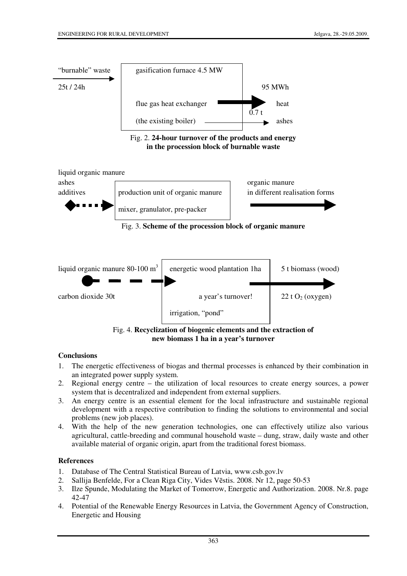







Fig. 4. **Recyclization of biogenic elements and the extraction of new biomass 1 ha in a year's turnover**

# **Conclusions**

- 1. The energetic effectiveness of biogas and thermal processes is enhanced by their combination in an integrated power supply system.
- 2. Regional energy centre the utilization of local resources to create energy sources, a power system that is decentralized and independent from external suppliers.
- 3. An energy centre is an essential element for the local infrastructure and sustainable regional development with a respective contribution to finding the solutions to environmental and social problems (new job places).
- 4. With the help of the new generation technologies, one can effectively utilize also various agricultural, cattle-breeding and communal household waste – dung, straw, daily waste and other available material of organic origin, apart from the traditional forest biomass.

# **References**

- 1. Database of The Central Statistical Bureau of Latvia, www.csb.gov.lv
- 2. Sallija Benfelde, For a Clean Riga City, Vides Vēstis. 2008. Nr 12, page 50-53
- 3. Ilze Spunde, Modulating the Market of Tomorrow, Energetic and Authorization. 2008. Nr.8. page 42-47
- 4. Potential of the Renewable Energy Resources in Latvia, the Government Agency of Construction, Energetic and Housing